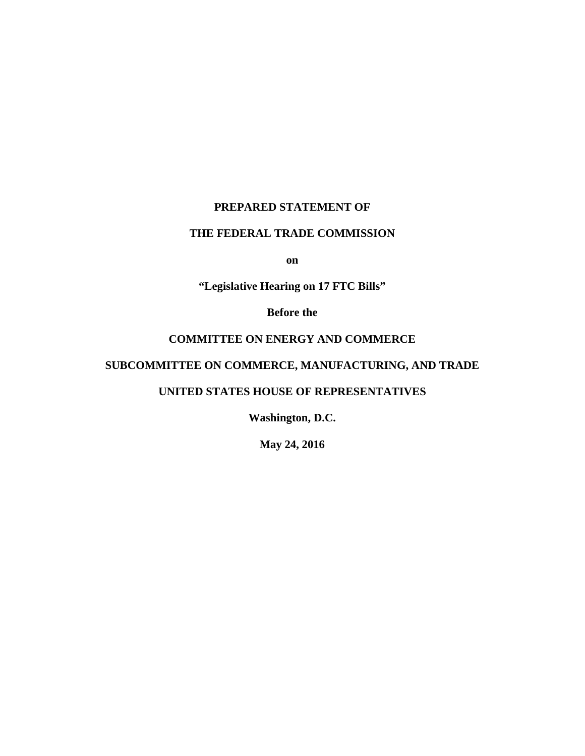# **PREPARED STATEMENT OF**

# **THE FEDERAL TRADE COMMISSION**

**on**

**"Legislative Hearing on 17 FTC Bills"**

**Before the**

# **COMMITTEE ON ENERGY AND COMMERCE**

# **SUBCOMMITTEE ON COMMERCE, MANUFACTURING, AND TRADE**

### **UNITED STATES HOUSE OF REPRESENTATIVES**

**Washington, D.C.**

**May 24, 2016**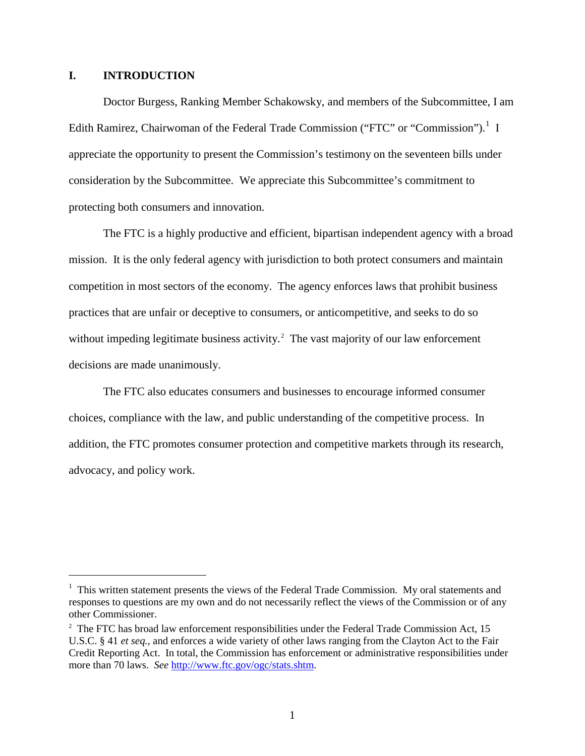### **I. INTRODUCTION**

Doctor Burgess, Ranking Member Schakowsky, and members of the Subcommittee, I am Edith Ramirez, Chairwoman of the Federal Trade Commission ("FTC" or "Commission").<sup>[1](#page-1-0)</sup> I appreciate the opportunity to present the Commission's testimony on the seventeen bills under consideration by the Subcommittee. We appreciate this Subcommittee's commitment to protecting both consumers and innovation.

The FTC is a highly productive and efficient, bipartisan independent agency with a broad mission. It is the only federal agency with jurisdiction to both protect consumers and maintain competition in most sectors of the economy. The agency enforces laws that prohibit business practices that are unfair or deceptive to consumers, or anticompetitive, and seeks to do so without impeding legitimate business activity. $2$  The vast majority of our law enforcement decisions are made unanimously.

The FTC also educates consumers and businesses to encourage informed consumer choices, compliance with the law, and public understanding of the competitive process. In addition, the FTC promotes consumer protection and competitive markets through its research, advocacy, and policy work.

<span id="page-1-0"></span> $\frac{1}{1}$  $1$  This written statement presents the views of the Federal Trade Commission. My oral statements and responses to questions are my own and do not necessarily reflect the views of the Commission or of any other Commissioner.

<span id="page-1-1"></span> $2^2$  The FTC has broad law enforcement responsibilities under the Federal Trade Commission Act, 15 U.S.C. § 41 *et seq.*, and enforces a wide variety of other laws ranging from the Clayton Act to the Fair Credit Reporting Act. In total, the Commission has enforcement or administrative responsibilities under more than 70 laws. *See* [http://www.ftc.gov/ogc/stats.shtm.](http://www.ftc.gov/ogc/stats.shtm)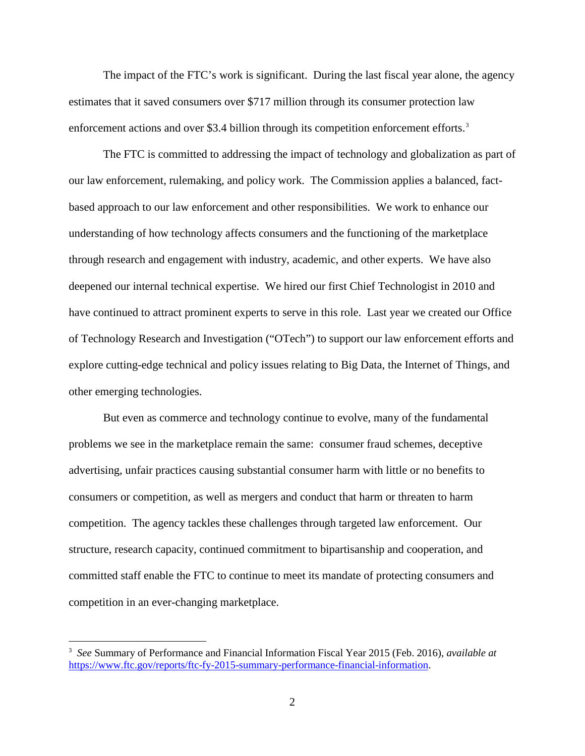The impact of the FTC's work is significant. During the last fiscal year alone, the agency estimates that it saved consumers over \$717 million through its consumer protection law enforcement actions and over \$[3](#page-2-0).4 billion through its competition enforcement efforts.<sup>3</sup>

The FTC is committed to addressing the impact of technology and globalization as part of our law enforcement, rulemaking, and policy work. The Commission applies a balanced, factbased approach to our law enforcement and other responsibilities. We work to enhance our understanding of how technology affects consumers and the functioning of the marketplace through research and engagement with industry, academic, and other experts. We have also deepened our internal technical expertise. We hired our first Chief Technologist in 2010 and have continued to attract prominent experts to serve in this role. Last year we created our Office of Technology Research and Investigation ("OTech") to support our law enforcement efforts and explore cutting-edge technical and policy issues relating to Big Data, the Internet of Things, and other emerging technologies.

But even as commerce and technology continue to evolve, many of the fundamental problems we see in the marketplace remain the same: consumer fraud schemes, deceptive advertising, unfair practices causing substantial consumer harm with little or no benefits to consumers or competition, as well as mergers and conduct that harm or threaten to harm competition. The agency tackles these challenges through targeted law enforcement. Our structure, research capacity, continued commitment to bipartisanship and cooperation, and committed staff enable the FTC to continue to meet its mandate of protecting consumers and competition in an ever-changing marketplace.

<span id="page-2-0"></span><sup>&</sup>lt;sup>-</sup><br>3 *See* Summary of Performance and Financial Information Fiscal Year 2015 (Feb. 2016), *available at*  [https://www.ftc.gov/reports/ftc-fy-2015-summary-performance-financial-information.](https://www.ftc.gov/reports/ftc-fy-2015-summary-performance-financial-information)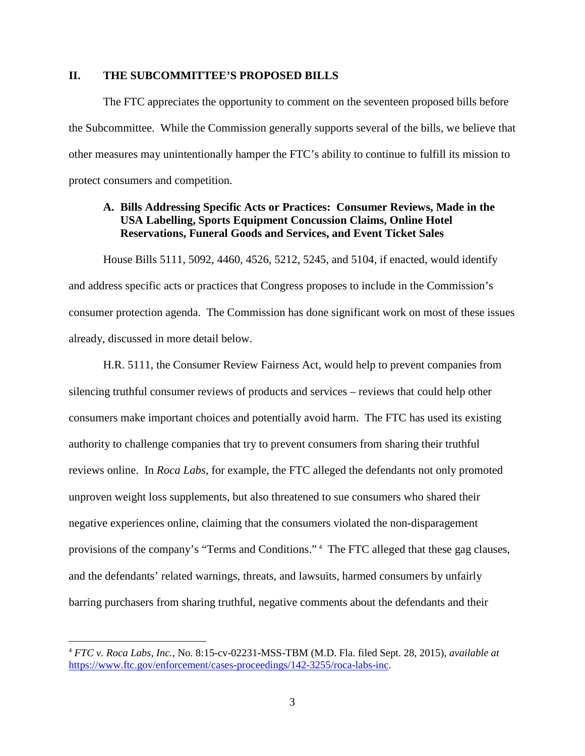### **II. THE SUBCOMMITTEE'S PROPOSED BILLS**

The FTC appreciates the opportunity to comment on the seventeen proposed bills before the Subcommittee. While the Commission generally supports several of the bills, we believe that other measures may unintentionally hamper the FTC's ability to continue to fulfill its mission to protect consumers and competition.

# **A. Bills Addressing Specific Acts or Practices: Consumer Reviews, Made in the USA Labelling, Sports Equipment Concussion Claims, Online Hotel Reservations, Funeral Goods and Services, and Event Ticket Sales**

House Bills 5111, 5092, 4460, 4526, 5212, 5245, and 5104, if enacted, would identify and address specific acts or practices that Congress proposes to include in the Commission's consumer protection agenda. The Commission has done significant work on most of these issues already, discussed in more detail below.

H.R. 5111, the Consumer Review Fairness Act, would help to prevent companies from silencing truthful consumer reviews of products and services – reviews that could help other consumers make important choices and potentially avoid harm. The FTC has used its existing authority to challenge companies that try to prevent consumers from sharing their truthful reviews online. In *Roca Labs*, for example, the FTC alleged the defendants not only promoted unproven weight loss supplements, but also threatened to sue consumers who shared their negative experiences online, claiming that the consumers violated the non-disparagement provisions of the company's "Terms and Conditions."<sup>[4](#page-3-0)</sup> The FTC alleged that these gag clauses, and the defendants' related warnings, threats, and lawsuits, harmed consumers by unfairly barring purchasers from sharing truthful, negative comments about the defendants and their

<span id="page-3-0"></span> <sup>4</sup> *FTC v. Roca Labs, Inc.*, No. 8:15-cv-02231-MSS-TBM (M.D. Fla. filed Sept. 28, 2015), *available at* [https://www.ftc.gov/enforcement/cases-proceedings/142-3255/roca-labs-inc.](https://www.ftc.gov/enforcement/cases-proceedings/142-3255/roca-labs-inc)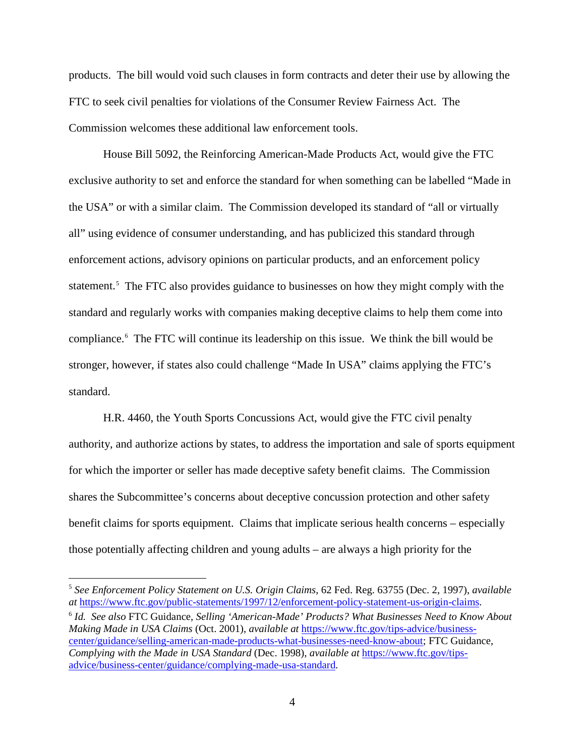products. The bill would void such clauses in form contracts and deter their use by allowing the FTC to seek civil penalties for violations of the Consumer Review Fairness Act. The Commission welcomes these additional law enforcement tools.

House Bill 5092, the Reinforcing American-Made Products Act, would give the FTC exclusive authority to set and enforce the standard for when something can be labelled "Made in the USA" or with a similar claim. The Commission developed its standard of "all or virtually all" using evidence of consumer understanding, and has publicized this standard through enforcement actions, advisory opinions on particular products, and an enforcement policy statement.<sup>[5](#page-4-0)</sup> The FTC also provides guidance to businesses on how they might comply with the standard and regularly works with companies making deceptive claims to help them come into compliance. [6](#page-4-1) The FTC will continue its leadership on this issue. We think the bill would be stronger, however, if states also could challenge "Made In USA" claims applying the FTC's standard.

H.R. 4460, the Youth Sports Concussions Act, would give the FTC civil penalty authority, and authorize actions by states, to address the importation and sale of sports equipment for which the importer or seller has made deceptive safety benefit claims. The Commission shares the Subcommittee's concerns about deceptive concussion protection and other safety benefit claims for sports equipment. Claims that implicate serious health concerns – especially those potentially affecting children and young adults – are always a high priority for the

<span id="page-4-0"></span> <sup>5</sup> *See Enforcement Policy Statement on U.S. Origin Claims*, 62 Fed. Reg. 63755 (Dec. 2, 1997), *available at* [https://www.ftc.gov/public-statements/1997/12/enforcement-policy-statement-us-origin-claims.](https://www.ftc.gov/public-statements/1997/12/enforcement-policy-statement-us-origin-claims)

<span id="page-4-1"></span><sup>6</sup> *Id. See also* FTC Guidance, *Selling 'American-Made' Products? What Businesses Need to Know About Making Made in USA Claims* (Oct. 2001), *available at* [https://www.ftc.gov/tips-advice/business](https://www.ftc.gov/tips-advice/business-center/guidance/selling-american-made-products-what-businesses-need-know-about)[center/guidance/selling-american-made-products-what-businesses-need-know-about;](https://www.ftc.gov/tips-advice/business-center/guidance/selling-american-made-products-what-businesses-need-know-about) FTC Guidance, *Complying with the Made in USA Standard* (Dec. 1998), *available at* [https://www.ftc.gov/tips](https://www.ftc.gov/tips-advice/business-center/guidance/complying-made-usa-standard)[advice/business-center/guidance/complying-made-usa-standard.](https://www.ftc.gov/tips-advice/business-center/guidance/complying-made-usa-standard)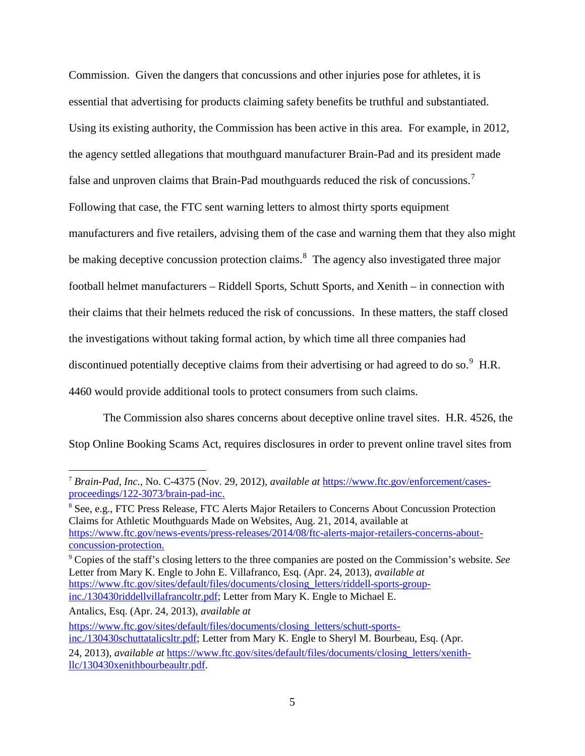Commission. Given the dangers that concussions and other injuries pose for athletes, it is essential that advertising for products claiming safety benefits be truthful and substantiated. Using its existing authority, the Commission has been active in this area. For example, in 2012, the agency settled allegations that mouthguard manufacturer Brain-Pad and its president made false and unproven claims that Brain-Pad mouthguards reduced the risk of concussions.<sup>[7](#page-5-0)</sup> Following that case, the FTC sent warning letters to almost thirty sports equipment manufacturers and five retailers, advising them of the case and warning them that they also might be making deceptive concussion protection claims.<sup>[8](#page-5-1)</sup> The agency also investigated three major football helmet manufacturers – Riddell Sports, Schutt Sports, and Xenith – in connection with their claims that their helmets reduced the risk of concussions. In these matters, the staff closed the investigations without taking formal action, by which time all three companies had discontinued potentially deceptive claims from their advertising or had agreed to do so. $9$  H.R. 4460 would provide additional tools to protect consumers from such claims.

The Commission also shares concerns about deceptive online travel sites. H.R. 4526, the Stop Online Booking Scams Act, requires disclosures in order to prevent online travel sites from

<span id="page-5-2"></span><sup>9</sup> Copies of the staff's closing letters to the three companies are posted on the Commission's website. *See* Letter from Mary K. Engle to John E. Villafranco, Esq. (Apr. 24, 2013), *available at* [https://www.ftc.gov/sites/default/files/documents/closing\\_letters/riddell-sports-group](https://www.ftc.gov/sites/default/files/documents/closing_letters/riddell-sports-group-inc./130430riddellvillafrancoltr.pdf)[inc./130430riddellvillafrancoltr.pdf;](https://www.ftc.gov/sites/default/files/documents/closing_letters/riddell-sports-group-inc./130430riddellvillafrancoltr.pdf) Letter from Mary K. Engle to Michael E.

Antalics, Esq. (Apr. 24, 2013), *available at* [https://www.ftc.gov/sites/default/files/documents/closing\\_letters/schutt-sports-](https://www.ftc.gov/sites/default/files/documents/closing_letters/schutt-sports-inc./130430schuttatalicsltr.pdf)

[inc./130430schuttatalicsltr.pdf;](https://www.ftc.gov/sites/default/files/documents/closing_letters/schutt-sports-inc./130430schuttatalicsltr.pdf) Letter from Mary K. Engle to Sheryl M. Bourbeau, Esq. (Apr.

<span id="page-5-0"></span> <sup>7</sup> *Brain-Pad, Inc.*, No. C-4375 (Nov. 29, 2012), *available at* [https://www.ftc.gov/enforcement/cases](https://www.ftc.gov/enforcement/cases-proceedings/122-3073/brain-pad-inc)[proceedings/122-3073/brain-pad-inc.](https://www.ftc.gov/enforcement/cases-proceedings/122-3073/brain-pad-inc)

<span id="page-5-1"></span><sup>&</sup>lt;sup>8</sup> See, e.g., FTC Press Release, FTC Alerts Major Retailers to Concerns About Concussion Protection Claims for Athletic Mouthguards Made on Websites, Aug. 21, 2014, available at [https://www.ftc.gov/news-events/press-releases/2014/08/ftc-alerts-major-retailers-concerns-about](https://www.ftc.gov/news-events/press-releases/2014/08/ftc-alerts-major-retailers-concerns-about-concussion-protection)[concussion-protection.](https://www.ftc.gov/news-events/press-releases/2014/08/ftc-alerts-major-retailers-concerns-about-concussion-protection)

<sup>24, 2013),</sup> *available at* [https://www.ftc.gov/sites/default/files/documents/closing\\_letters/xenith](https://www.ftc.gov/sites/default/files/documents/closing_letters/xenith-llc/130430xenithbourbeaultr.pdf)[llc/130430xenithbourbeaultr.pdf.](https://www.ftc.gov/sites/default/files/documents/closing_letters/xenith-llc/130430xenithbourbeaultr.pdf)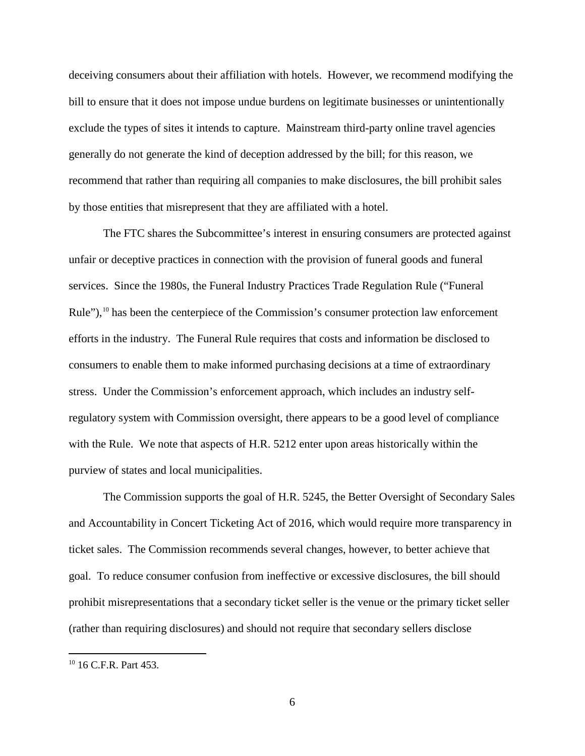deceiving consumers about their affiliation with hotels. However, we recommend modifying the bill to ensure that it does not impose undue burdens on legitimate businesses or unintentionally exclude the types of sites it intends to capture. Mainstream third-party online travel agencies generally do not generate the kind of deception addressed by the bill; for this reason, we recommend that rather than requiring all companies to make disclosures, the bill prohibit sales by those entities that misrepresent that they are affiliated with a hotel.

The FTC shares the Subcommittee's interest in ensuring consumers are protected against unfair or deceptive practices in connection with the provision of funeral goods and funeral services. Since the 1980s, the Funeral Industry Practices Trade Regulation Rule ("Funeral Rule"),  $10$  has been the centerpiece of the Commission's consumer protection law enforcement efforts in the industry. The Funeral Rule requires that costs and information be disclosed to consumers to enable them to make informed purchasing decisions at a time of extraordinary stress. Under the Commission's enforcement approach, which includes an industry selfregulatory system with Commission oversight, there appears to be a good level of compliance with the Rule. We note that aspects of H.R. 5212 enter upon areas historically within the purview of states and local municipalities.

The Commission supports the goal of H.R. 5245, the Better Oversight of Secondary Sales and Accountability in Concert Ticketing Act of 2016, which would require more transparency in ticket sales. The Commission recommends several changes, however, to better achieve that goal. To reduce consumer confusion from ineffective or excessive disclosures, the bill should prohibit misrepresentations that a secondary ticket seller is the venue or the primary ticket seller (rather than requiring disclosures) and should not require that secondary sellers disclose

<span id="page-6-0"></span> <sup>10</sup> 16 C.F.R. Part 453.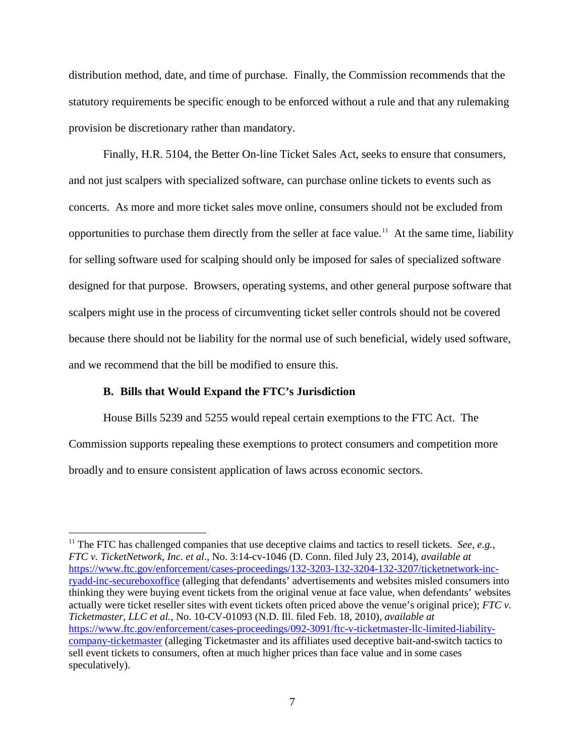distribution method, date, and time of purchase. Finally, the Commission recommends that the statutory requirements be specific enough to be enforced without a rule and that any rulemaking provision be discretionary rather than mandatory.

Finally, H.R. 5104, the Better On-line Ticket Sales Act, seeks to ensure that consumers, and not just scalpers with specialized software, can purchase online tickets to events such as concerts. As more and more ticket sales move online, consumers should not be excluded from opportunities to purchase them directly from the seller at face value. [11](#page-7-0) At the same time, liability for selling software used for scalping should only be imposed for sales of specialized software designed for that purpose. Browsers, operating systems, and other general purpose software that scalpers might use in the process of circumventing ticket seller controls should not be covered because there should not be liability for the normal use of such beneficial, widely used software, and we recommend that the bill be modified to ensure this.

#### **B. Bills that Would Expand the FTC's Jurisdiction**

House Bills 5239 and 5255 would repeal certain exemptions to the FTC Act. The Commission supports repealing these exemptions to protect consumers and competition more broadly and to ensure consistent application of laws across economic sectors.

<span id="page-7-0"></span><sup>&</sup>lt;sup>11</sup> The FTC has challenged companies that use deceptive claims and tactics to resell tickets. *See, e.g.*, *FTC v. TicketNetwork, Inc. et al.*, No. 3:14-cv-1046 (D. Conn. filed July 23, 2014), *available at* [https://www.ftc.gov/enforcement/cases-proceedings/132-3203-132-3204-132-3207/ticketnetwork-inc](https://www.ftc.gov/enforcement/cases-proceedings/132-3203-132-3204-132-3207/ticketnetwork-inc-ryadd-inc-secureboxoffice)[ryadd-inc-secureboxoffice](https://www.ftc.gov/enforcement/cases-proceedings/132-3203-132-3204-132-3207/ticketnetwork-inc-ryadd-inc-secureboxoffice) (alleging that defendants' advertisements and websites misled consumers into thinking they were buying event tickets from the original venue at face value, when defendants' websites actually were ticket reseller sites with event tickets often priced above the venue's original price); *FTC v. Ticketmaster, LLC et al.*, No. 10-CV-01093 (N.D. Ill. filed Feb. 18, 2010), *available at* [https://www.ftc.gov/enforcement/cases-proceedings/092-3091/ftc-v-ticketmaster-llc-limited-liability](https://www.ftc.gov/enforcement/cases-proceedings/092-3091/ftc-v-ticketmaster-llc-limited-liability-company-ticketmaster)[company-ticketmaster](https://www.ftc.gov/enforcement/cases-proceedings/092-3091/ftc-v-ticketmaster-llc-limited-liability-company-ticketmaster) (alleging Ticketmaster and its affiliates used deceptive bait-and-switch tactics to sell event tickets to consumers, often at much higher prices than face value and in some cases speculatively).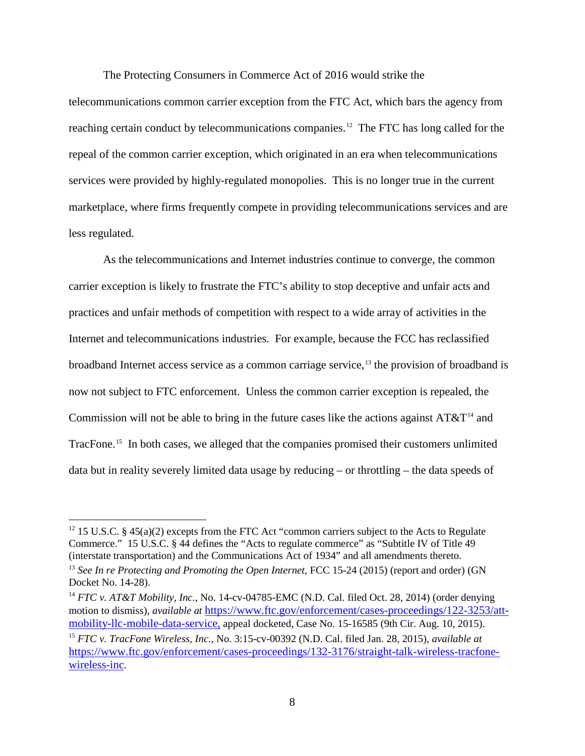The Protecting Consumers in Commerce Act of 2016 would strike the

telecommunications common carrier exception from the FTC Act, which bars the agency from reaching certain conduct by telecommunications companies.<sup>[12](#page-8-0)</sup> The FTC has long called for the repeal of the common carrier exception, which originated in an era when telecommunications services were provided by highly-regulated monopolies. This is no longer true in the current marketplace, where firms frequently compete in providing telecommunications services and are less regulated.

As the telecommunications and Internet industries continue to converge, the common carrier exception is likely to frustrate the FTC's ability to stop deceptive and unfair acts and practices and unfair methods of competition with respect to a wide array of activities in the Internet and telecommunications industries. For example, because the FCC has reclassified broadband Internet access service as a common carriage service, [13](#page-8-1) the provision of broadband is now not subject to FTC enforcement. Unless the common carrier exception is repealed, the Commission will not be able to bring in the future cases like the actions against  $AT&T<sup>14</sup>$  $AT&T<sup>14</sup>$  $AT&T<sup>14</sup>$  and TracFone. [15](#page-8-3) In both cases, we alleged that the companies promised their customers unlimited data but in reality severely limited data usage by reducing – or throttling – the data speeds of

<span id="page-8-0"></span><sup>&</sup>lt;sup>12</sup> 15 U.S.C. § 45(a)(2) excepts from the FTC Act "common carriers subject to the Acts to Regulate Commerce." 15 U.S.C. § 44 defines the "Acts to regulate commerce" as "Subtitle IV of Title 49 (interstate transportation) and the Communications Act of 1934" and all amendments thereto.

<span id="page-8-1"></span><sup>&</sup>lt;sup>13</sup> See In re Protecting and Promoting the Open Internet, FCC 15-24 (2015) (report and order) (GN Docket No. 14-28).

<span id="page-8-2"></span><sup>&</sup>lt;sup>14</sup> *FTC v. AT&T Mobility, Inc., No.* 14-cv-04785-EMC (N.D. Cal. filed Oct. 28, 2014) (order denying motion to dismiss), *available at* [https://www.ftc.gov/enforcement/cases-proceedings/122-3253/att](https://www.ftc.gov/enforcement/cases-proceedings/122-3253/att-mobility-llc-mobile-data-service)[mobility-llc-mobile-data-service,](https://www.ftc.gov/enforcement/cases-proceedings/122-3253/att-mobility-llc-mobile-data-service) appeal docketed, Case No. 15-16585 (9th Cir. Aug. 10, 2015). <sup>15</sup> *FTC v. TracFone Wireless, Inc.*, No. 3:15-cv-00392 (N.D. Cal. filed Jan. 28, 2015), *available at*

<span id="page-8-3"></span>[https://www.ftc.gov/enforcement/cases-proceedings/132-3176/straight-talk-wireless-tracfone](https://www.ftc.gov/enforcement/cases-proceedings/132-3176/straight-talk-wireless-tracfone-wireless-inc)[wireless-inc.](https://www.ftc.gov/enforcement/cases-proceedings/132-3176/straight-talk-wireless-tracfone-wireless-inc)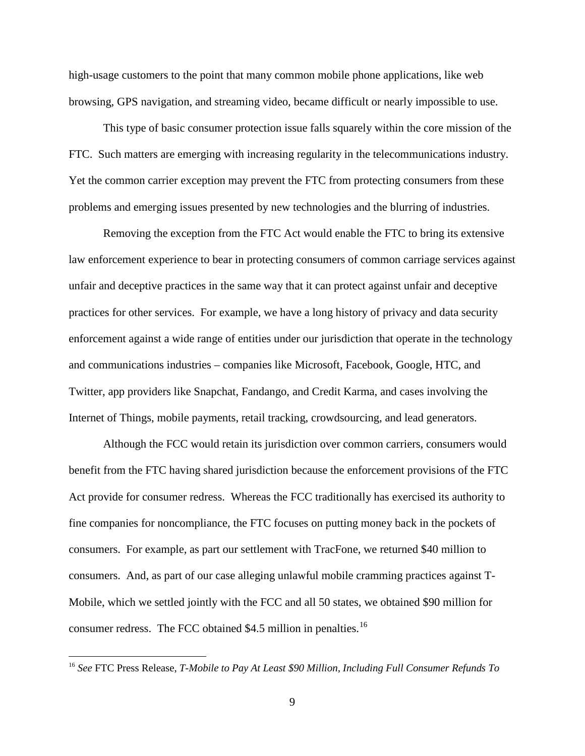high-usage customers to the point that many common mobile phone applications, like web browsing, GPS navigation, and streaming video, became difficult or nearly impossible to use.

This type of basic consumer protection issue falls squarely within the core mission of the FTC. Such matters are emerging with increasing regularity in the telecommunications industry. Yet the common carrier exception may prevent the FTC from protecting consumers from these problems and emerging issues presented by new technologies and the blurring of industries.

Removing the exception from the FTC Act would enable the FTC to bring its extensive law enforcement experience to bear in protecting consumers of common carriage services against unfair and deceptive practices in the same way that it can protect against unfair and deceptive practices for other services. For example, we have a long history of privacy and data security enforcement against a wide range of entities under our jurisdiction that operate in the technology and communications industries – companies like Microsoft, Facebook, Google, HTC, and Twitter, app providers like Snapchat, Fandango, and Credit Karma, and cases involving the Internet of Things, mobile payments, retail tracking, crowdsourcing, and lead generators.

Although the FCC would retain its jurisdiction over common carriers, consumers would benefit from the FTC having shared jurisdiction because the enforcement provisions of the FTC Act provide for consumer redress. Whereas the FCC traditionally has exercised its authority to fine companies for noncompliance, the FTC focuses on putting money back in the pockets of consumers. For example, as part our settlement with TracFone, we returned \$40 million to consumers. And, as part of our case alleging unlawful mobile cramming practices against T-Mobile, which we settled jointly with the FCC and all 50 states, we obtained \$90 million for consumer redress. The FCC obtained \$4.5 million in penalties.<sup>[16](#page-9-0)</sup>

<span id="page-9-0"></span> <sup>16</sup> *See* FTC Press Release, *T-Mobile to Pay At Least \$90 Million, Including Full Consumer Refunds To*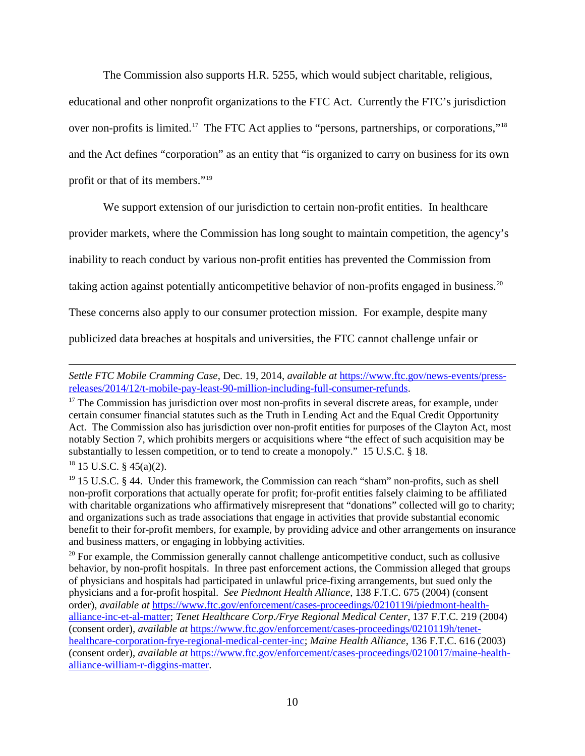The Commission also supports H.R. 5255, which would subject charitable, religious,

educational and other nonprofit organizations to the FTC Act. Currently the FTC's jurisdiction over non-profits is limited.<sup>[17](#page-10-0)</sup> The FTC Act applies to "persons, partnerships, or corporations,"<sup>[18](#page-10-1)</sup> and the Act defines "corporation" as an entity that "is organized to carry on business for its own profit or that of its members."[19](#page-10-2)

We support extension of our jurisdiction to certain non-profit entities. In healthcare

provider markets, where the Commission has long sought to maintain competition, the agency's

inability to reach conduct by various non-profit entities has prevented the Commission from

taking action against potentially anticompetitive behavior of non-profits engaged in business.<sup>20</sup>

These concerns also apply to our consumer protection mission. For example, despite many

publicized data breaches at hospitals and universities, the FTC cannot challenge unfair or

### <span id="page-10-1"></span> $18$  15 U.S.C. § 45(a)(2).

 $\overline{a}$ 

*Settle FTC Mobile Cramming Case*, Dec. 19, 2014, *available at* [https://www.ftc.gov/news-events/press-](https://www.ftc.gov/news-events/press-releases/2014/12/t-mobile-pay-least-90-million-including-full-consumer-refunds)

<span id="page-10-0"></span> $17$  The Commission has jurisdiction over most non-profits in several discrete areas, for example, under certain consumer financial statutes such as the Truth in Lending Act and the Equal Credit Opportunity Act. The Commission also has jurisdiction over non-profit entities for purposes of the Clayton Act, most notably Section 7, which prohibits mergers or acquisitions where "the effect of such acquisition may be substantially to lessen competition, or to tend to create a monopoly." 15 U.S.C. § 18.

<span id="page-10-2"></span><sup>&</sup>lt;sup>19</sup> 15 U.S.C. § 44. Under this framework, the Commission can reach "sham" non-profits, such as shell non-profit corporations that actually operate for profit; for-profit entities falsely claiming to be affiliated with charitable organizations who affirmatively misrepresent that "donations" collected will go to charity; and organizations such as trade associations that engage in activities that provide substantial economic benefit to their for-profit members, for example, by providing advice and other arrangements on insurance and business matters, or engaging in lobbying activities.

<span id="page-10-3"></span> $20$  For example, the Commission generally cannot challenge anticompetitive conduct, such as collusive behavior, by non-profit hospitals. In three past enforcement actions, the Commission alleged that groups of physicians and hospitals had participated in unlawful price-fixing arrangements, but sued only the physicians and a for-profit hospital. *See Piedmont Health Alliance*, 138 F.T.C. 675 (2004) (consent order), *available at* [https://www.ftc.gov/enforcement/cases-proceedings/0210119i/piedmont-health](https://www.ftc.gov/enforcement/cases-proceedings/0210119i/piedmont-health-alliance-inc-et-al-matter)[alliance-inc-et-al-matter;](https://www.ftc.gov/enforcement/cases-proceedings/0210119i/piedmont-health-alliance-inc-et-al-matter) *Tenet Healthcare Corp./Frye Regional Medical Center*, 137 F.T.C. 219 (2004) (consent order), *available at* [https://www.ftc.gov/enforcement/cases-proceedings/0210119h/tenet](https://www.ftc.gov/enforcement/cases-proceedings/0210119h/tenet-healthcare-corporation-frye-regional-medical-center-inc)[healthcare-corporation-frye-regional-medical-center-inc;](https://www.ftc.gov/enforcement/cases-proceedings/0210119h/tenet-healthcare-corporation-frye-regional-medical-center-inc) *Maine Health Alliance*, 136 F.T.C. 616 (2003) (consent order), *available at* [https://www.ftc.gov/enforcement/cases-proceedings/0210017/maine-health](https://www.ftc.gov/enforcement/cases-proceedings/0210017/maine-health-alliance-william-r-diggins-matter)[alliance-william-r-diggins-matter.](https://www.ftc.gov/enforcement/cases-proceedings/0210017/maine-health-alliance-william-r-diggins-matter)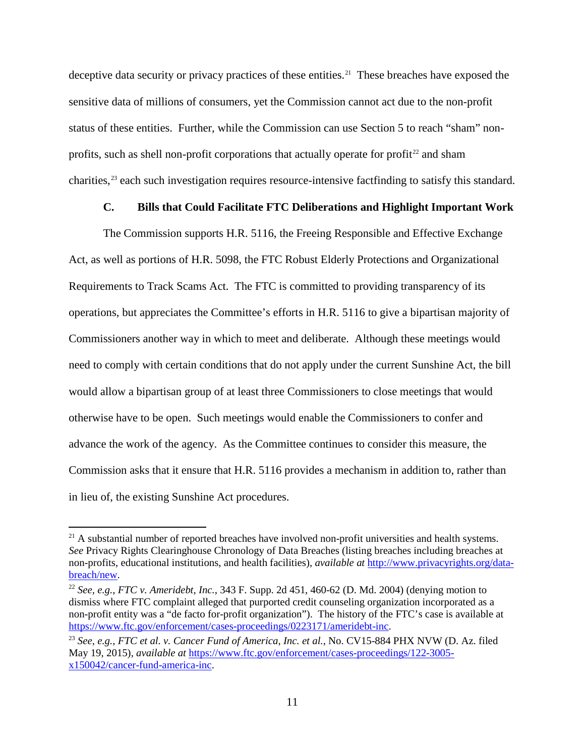deceptive data security or privacy practices of these entities.<sup>21</sup> These breaches have exposed the sensitive data of millions of consumers, yet the Commission cannot act due to the non-profit status of these entities. Further, while the Commission can use Section 5 to reach "sham" non-profits, such as shell non-profit corporations that actually operate for profit<sup>[22](#page-11-1)</sup> and sham charities, [23](#page-11-2) each such investigation requires resource-intensive factfinding to satisfy this standard.

# **C. Bills that Could Facilitate FTC Deliberations and Highlight Important Work**

The Commission supports H.R. 5116, the Freeing Responsible and Effective Exchange Act, as well as portions of H.R. 5098, the FTC Robust Elderly Protections and Organizational Requirements to Track Scams Act. The FTC is committed to providing transparency of its operations, but appreciates the Committee's efforts in H.R. 5116 to give a bipartisan majority of Commissioners another way in which to meet and deliberate. Although these meetings would need to comply with certain conditions that do not apply under the current Sunshine Act, the bill would allow a bipartisan group of at least three Commissioners to close meetings that would otherwise have to be open. Such meetings would enable the Commissioners to confer and advance the work of the agency. As the Committee continues to consider this measure, the Commission asks that it ensure that H.R. 5116 provides a mechanism in addition to, rather than in lieu of, the existing Sunshine Act procedures.

<span id="page-11-0"></span> $21$  A substantial number of reported breaches have involved non-profit universities and health systems. *See* Privacy Rights Clearinghouse Chronology of Data Breaches (listing breaches including breaches at non-profits, educational institutions, and health facilities), *available at* [http://www.privacyrights.org/data](http://www.privacyrights.org/data-breach/new)[breach/new.](http://www.privacyrights.org/data-breach/new)

<span id="page-11-1"></span><sup>22</sup> *See, e.g.*, *FTC v. Ameridebt, Inc.*, 343 F. Supp. 2d 451, 460-62 (D. Md. 2004) (denying motion to dismiss where FTC complaint alleged that purported credit counseling organization incorporated as a non-profit entity was a "de facto for-profit organization"). The history of the FTC's case is available at [https://www.ftc.gov/enforcement/cases-proceedings/0223171/ameridebt-inc.](https://www.ftc.gov/enforcement/cases-proceedings/0223171/ameridebt-inc)

<span id="page-11-2"></span><sup>23</sup> *See, e.g.*, *FTC et al. v. Cancer Fund of America, Inc. et al.*, No. CV15-884 PHX NVW (D. Az. filed May 19, 2015), *available at* [https://www.ftc.gov/enforcement/cases-proceedings/122-3005](https://www.ftc.gov/enforcement/cases-proceedings/122-3005-x150042/cancer-fund-america-inc) [x150042/cancer-fund-america-inc.](https://www.ftc.gov/enforcement/cases-proceedings/122-3005-x150042/cancer-fund-america-inc)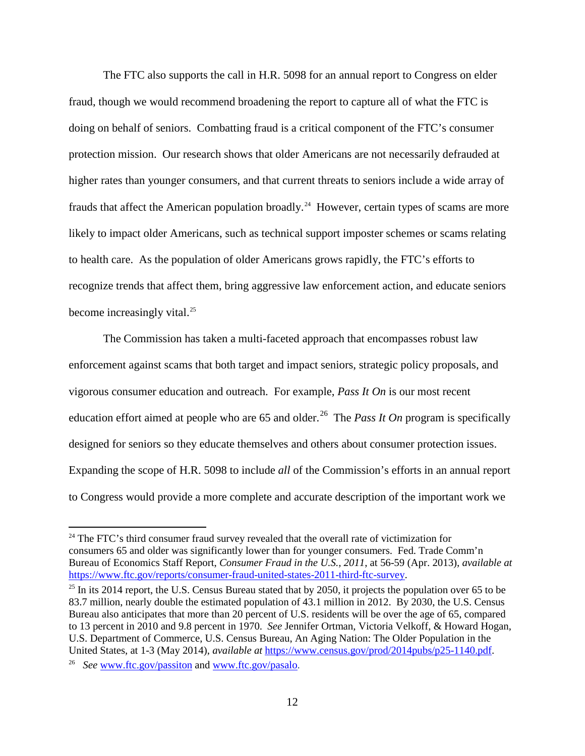The FTC also supports the call in H.R. 5098 for an annual report to Congress on elder fraud, though we would recommend broadening the report to capture all of what the FTC is doing on behalf of seniors. Combatting fraud is a critical component of the FTC's consumer protection mission. Our research shows that older Americans are not necessarily defrauded at higher rates than younger consumers, and that current threats to seniors include a wide array of frauds that affect the American population broadly.<sup>[24](#page-12-0)</sup> However, certain types of scams are more likely to impact older Americans, such as technical support imposter schemes or scams relating to health care. As the population of older Americans grows rapidly, the FTC's efforts to recognize trends that affect them, bring aggressive law enforcement action, and educate seniors become increasingly vital. $^{25}$  $^{25}$  $^{25}$ 

The Commission has taken a multi-faceted approach that encompasses robust law enforcement against scams that both target and impact seniors, strategic policy proposals, and vigorous consumer education and outreach. For example, *Pass It On* is our most recent education effort aimed at people who are  $65$  and older.<sup>[26](#page-12-2)</sup> The *Pass It On* program is specifically designed for seniors so they educate themselves and others about consumer protection issues. Expanding the scope of H.R. 5098 to include *all* of the Commission's efforts in an annual report to Congress would provide a more complete and accurate description of the important work we

<span id="page-12-0"></span> $24$  The FTC's third consumer fraud survey revealed that the overall rate of victimization for consumers 65 and older was significantly lower than for younger consumers. Fed. Trade Comm'n Bureau of Economics Staff Report, *Consumer Fraud in the U.S., 2011*, at 56-59 (Apr. 2013), *available at* [https://www.ftc.gov/reports/consumer-fraud-united-states-2011-third-ftc-survey.](https://www.ftc.gov/reports/consumer-fraud-united-states-2011-third-ftc-survey)

<span id="page-12-1"></span><sup>&</sup>lt;sup>25</sup> In its 2014 report, the U.S. Census Bureau stated that by 2050, it projects the population over 65 to be 83.7 million, nearly double the estimated population of 43.1 million in 2012. By 2030, the U.S. Census Bureau also anticipates that more than 20 percent of U.S. residents will be over the age of 65, compared to 13 percent in 2010 and 9.8 percent in 1970. *See* Jennifer Ortman, Victoria Velkoff, & Howard Hogan, U.S. Department of Commerce, U.S. Census Bureau, An Aging Nation: The Older Population in the United States, at 1-3 (May 2014), *available at* [https://www.census.gov/prod/2014pubs/p25-1140.pdf.](https://www.census.gov/prod/2014pubs/p25-1140.pdf)

<span id="page-12-2"></span><sup>26</sup> *See* [www.ftc.gov/passiton](http://www.ftc.gov/passiton) and [www.ftc.gov/pasalo.](http://www.ftc.gov/pasalo)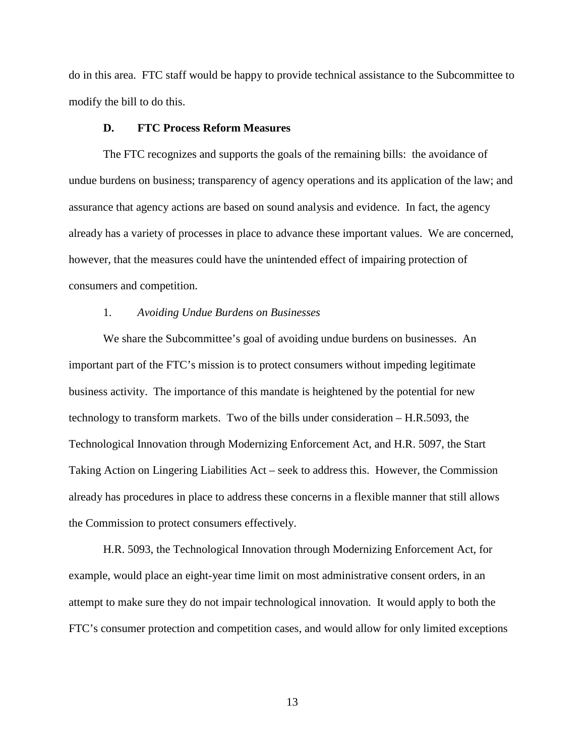do in this area. FTC staff would be happy to provide technical assistance to the Subcommittee to modify the bill to do this.

#### **D. FTC Process Reform Measures**

The FTC recognizes and supports the goals of the remaining bills: the avoidance of undue burdens on business; transparency of agency operations and its application of the law; and assurance that agency actions are based on sound analysis and evidence. In fact, the agency already has a variety of processes in place to advance these important values. We are concerned, however, that the measures could have the unintended effect of impairing protection of consumers and competition.

### 1. *Avoiding Undue Burdens on Businesses*

We share the Subcommittee's goal of avoiding undue burdens on businesses. An important part of the FTC's mission is to protect consumers without impeding legitimate business activity. The importance of this mandate is heightened by the potential for new technology to transform markets. Two of the bills under consideration – H.R.5093, the Technological Innovation through Modernizing Enforcement Act, and H.R. 5097, the Start Taking Action on Lingering Liabilities Act – seek to address this. However, the Commission already has procedures in place to address these concerns in a flexible manner that still allows the Commission to protect consumers effectively.

H.R. 5093, the Technological Innovation through Modernizing Enforcement Act, for example, would place an eight-year time limit on most administrative consent orders, in an attempt to make sure they do not impair technological innovation. It would apply to both the FTC's consumer protection and competition cases, and would allow for only limited exceptions

13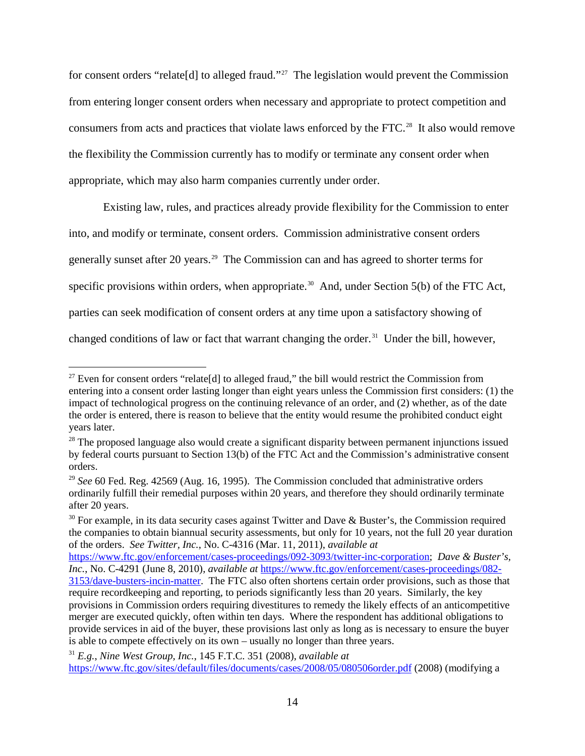for consent orders "relate[d] to alleged fraud."[27](#page-14-0) The legislation would prevent the Commission from entering longer consent orders when necessary and appropriate to protect competition and consumers from acts and practices that violate laws enforced by the FTC. [28](#page-14-1) It also would remove the flexibility the Commission currently has to modify or terminate any consent order when appropriate, which may also harm companies currently under order.

Existing law, rules, and practices already provide flexibility for the Commission to enter into, and modify or terminate, consent orders. Commission administrative consent orders generally sunset after 20 years. [29](#page-14-2) The Commission can and has agreed to shorter terms for specific provisions within orders, when appropriate.<sup>30</sup> And, under Section 5(b) of the FTC Act, parties can seek modification of consent orders at any time upon a satisfactory showing of changed conditions of law or fact that warrant changing the order.<sup>31</sup> Under the bill, however,

<span id="page-14-0"></span> $27$  Even for consent orders "relate[d] to alleged fraud," the bill would restrict the Commission from entering into a consent order lasting longer than eight years unless the Commission first considers: (1) the impact of technological progress on the continuing relevance of an order, and (2) whether, as of the date the order is entered, there is reason to believe that the entity would resume the prohibited conduct eight years later.

<span id="page-14-1"></span><sup>&</sup>lt;sup>28</sup> The proposed language also would create a significant disparity between permanent injunctions issued by federal courts pursuant to Section 13(b) of the FTC Act and the Commission's administrative consent orders.

<span id="page-14-2"></span><sup>29</sup> *See* 60 Fed. Reg. 42569 (Aug. 16, 1995). The Commission concluded that administrative orders ordinarily fulfill their remedial purposes within 20 years, and therefore they should ordinarily terminate after 20 years.

<span id="page-14-3"></span> $30$  For example, in its data security cases against Twitter and Dave & Buster's, the Commission required the companies to obtain biannual security assessments, but only for 10 years, not the full 20 year duration of the orders. *See Twitter, Inc.*, No. C-4316 (Mar. 11, 2011), *available at* 

[https://www.ftc.gov/enforcement/cases-proceedings/092-3093/twitter-inc-corporation;](https://www.ftc.gov/enforcement/cases-proceedings/092-3093/twitter-inc-corporation) *Dave & Buster's, Inc.*, No. C-4291 (June 8, 2010), *available at* [https://www.ftc.gov/enforcement/cases-proceedings/082-](https://www.ftc.gov/enforcement/cases-proceedings/082-3153/dave-busters-incin-matter) [3153/dave-busters-incin-matter.](https://www.ftc.gov/enforcement/cases-proceedings/082-3153/dave-busters-incin-matter) The FTC also often shortens certain order provisions, such as those that require recordkeeping and reporting, to periods significantly less than 20 years. Similarly, the key provisions in Commission orders requiring divestitures to remedy the likely effects of an anticompetitive merger are executed quickly, often within ten days. Where the respondent has additional obligations to provide services in aid of the buyer, these provisions last only as long as is necessary to ensure the buyer is able to compete effectively on its own – usually no longer than three years.

<span id="page-14-4"></span><sup>31</sup> *E.g.*, *Nine West Group, Inc.*, 145 F.T.C. 351 (2008), *available at* <https://www.ftc.gov/sites/default/files/documents/cases/2008/05/080506order.pdf> (2008) (modifying a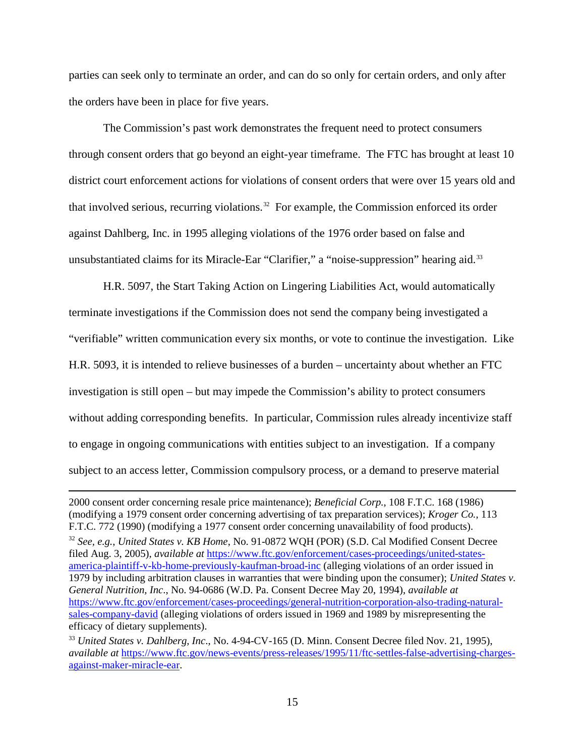parties can seek only to terminate an order, and can do so only for certain orders, and only after the orders have been in place for five years.

The Commission's past work demonstrates the frequent need to protect consumers through consent orders that go beyond an eight-year timeframe. The FTC has brought at least 10 district court enforcement actions for violations of consent orders that were over 15 years old and that involved serious, recurring violations. [32](#page-15-0) For example, the Commission enforced its order against Dahlberg, Inc. in 1995 alleging violations of the 1976 order based on false and unsubstantiated claims for its Miracle-Ear "Clarifier," a "noise-suppression" hearing aid.<sup>[33](#page-15-1)</sup>

H.R. 5097, the Start Taking Action on Lingering Liabilities Act, would automatically terminate investigations if the Commission does not send the company being investigated a "verifiable" written communication every six months, or vote to continue the investigation. Like H.R. 5093, it is intended to relieve businesses of a burden – uncertainty about whether an FTC investigation is still open – but may impede the Commission's ability to protect consumers without adding corresponding benefits. In particular, Commission rules already incentivize staff to engage in ongoing communications with entities subject to an investigation. If a company subject to an access letter, Commission compulsory process, or a demand to preserve material

 $\overline{a}$ 

<span id="page-15-0"></span><sup>32</sup> *See, e.g.*, *United States v. KB Home*, No. 91-0872 WQH (POR) (S.D. Cal Modified Consent Decree filed Aug. 3, 2005), *available at* [https://www.ftc.gov/enforcement/cases-proceedings/united-states](https://www.ftc.gov/enforcement/cases-proceedings/united-states-america-plaintiff-v-kb-home-previously-kaufman-broad-inc)[america-plaintiff-v-kb-home-previously-kaufman-broad-inc](https://www.ftc.gov/enforcement/cases-proceedings/united-states-america-plaintiff-v-kb-home-previously-kaufman-broad-inc) (alleging violations of an order issued in 1979 by including arbitration clauses in warranties that were binding upon the consumer); *United States v. General Nutrition, Inc*., No. 94-0686 (W.D. Pa. Consent Decree May 20, 1994), *available at* [https://www.ftc.gov/enforcement/cases-proceedings/general-nutrition-corporation-also-trading-natural](https://www.ftc.gov/enforcement/cases-proceedings/general-nutrition-corporation-also-trading-natural-sales-company-david)[sales-company-david](https://www.ftc.gov/enforcement/cases-proceedings/general-nutrition-corporation-also-trading-natural-sales-company-david) (alleging violations of orders issued in 1969 and 1989 by misrepresenting the efficacy of dietary supplements).

<sup>2000</sup> consent order concerning resale price maintenance); *Beneficial Corp.*, 108 F.T.C. 168 (1986) (modifying a 1979 consent order concerning advertising of tax preparation services); *Kroger Co.*, 113 F.T.C. 772 (1990) (modifying a 1977 consent order concerning unavailability of food products).

<span id="page-15-1"></span><sup>33</sup> *United States v. Dahlberg, Inc*., No. 4-94-CV-165 (D. Minn. Consent Decree filed Nov. 21, 1995), *available at* [https://www.ftc.gov/news-events/press-releases/1995/11/ftc-settles-false-advertising-charges](https://www.ftc.gov/news-events/press-releases/1995/11/ftc-settles-false-advertising-charges-against-maker-miracle-ear)[against-maker-miracle-ear.](https://www.ftc.gov/news-events/press-releases/1995/11/ftc-settles-false-advertising-charges-against-maker-miracle-ear)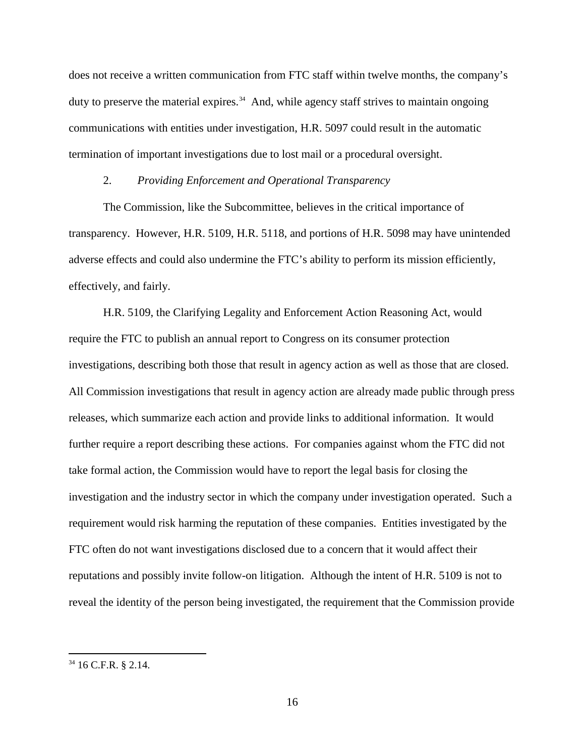does not receive a written communication from FTC staff within twelve months, the company's duty to preserve the material expires.<sup>34</sup> And, while agency staff strives to maintain ongoing communications with entities under investigation, H.R. 5097 could result in the automatic termination of important investigations due to lost mail or a procedural oversight.

#### 2. *Providing Enforcement and Operational Transparency*

The Commission, like the Subcommittee, believes in the critical importance of transparency. However, H.R. 5109, H.R. 5118, and portions of H.R. 5098 may have unintended adverse effects and could also undermine the FTC's ability to perform its mission efficiently, effectively, and fairly.

H.R. 5109, the Clarifying Legality and Enforcement Action Reasoning Act, would require the FTC to publish an annual report to Congress on its consumer protection investigations, describing both those that result in agency action as well as those that are closed. All Commission investigations that result in agency action are already made public through press releases, which summarize each action and provide links to additional information. It would further require a report describing these actions. For companies against whom the FTC did not take formal action, the Commission would have to report the legal basis for closing the investigation and the industry sector in which the company under investigation operated. Such a requirement would risk harming the reputation of these companies. Entities investigated by the FTC often do not want investigations disclosed due to a concern that it would affect their reputations and possibly invite follow-on litigation. Although the intent of H.R. 5109 is not to reveal the identity of the person being investigated, the requirement that the Commission provide

<span id="page-16-0"></span> <sup>34</sup> 16 C.F.R. § 2.14.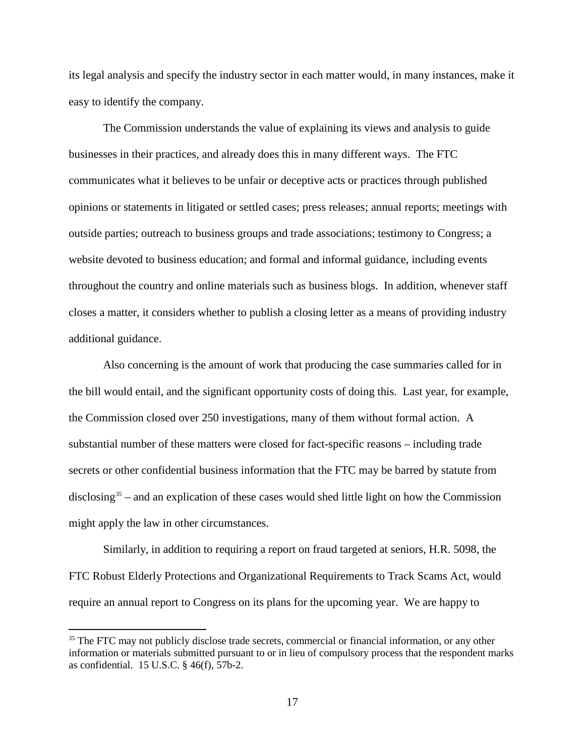its legal analysis and specify the industry sector in each matter would, in many instances, make it easy to identify the company.

The Commission understands the value of explaining its views and analysis to guide businesses in their practices, and already does this in many different ways. The FTC communicates what it believes to be unfair or deceptive acts or practices through published opinions or statements in litigated or settled cases; press releases; annual reports; meetings with outside parties; outreach to business groups and trade associations; testimony to Congress; a website devoted to business education; and formal and informal guidance, including events throughout the country and online materials such as business blogs. In addition, whenever staff closes a matter, it considers whether to publish a closing letter as a means of providing industry additional guidance.

Also concerning is the amount of work that producing the case summaries called for in the bill would entail, and the significant opportunity costs of doing this. Last year, for example, the Commission closed over 250 investigations, many of them without formal action. A substantial number of these matters were closed for fact-specific reasons – including trade secrets or other confidential business information that the FTC may be barred by statute from disclosing<sup>[35](#page-17-0)</sup> – and an explication of these cases would shed little light on how the Commission might apply the law in other circumstances.

Similarly, in addition to requiring a report on fraud targeted at seniors, H.R. 5098, the FTC Robust Elderly Protections and Organizational Requirements to Track Scams Act, would require an annual report to Congress on its plans for the upcoming year. We are happy to

<span id="page-17-0"></span><sup>&</sup>lt;sup>35</sup> The FTC may not publicly disclose trade secrets, commercial or financial information, or any other information or materials submitted pursuant to or in lieu of compulsory process that the respondent marks as confidential. 15 U.S.C. § 46(f), 57b-2.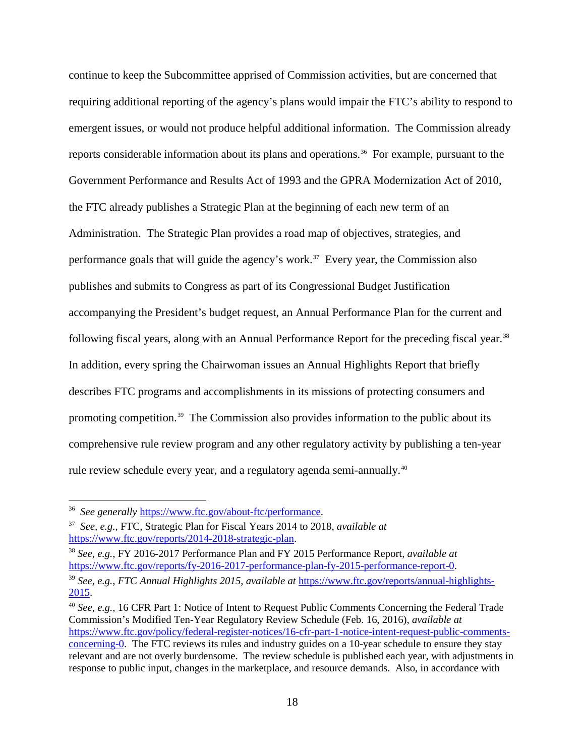continue to keep the Subcommittee apprised of Commission activities, but are concerned that requiring additional reporting of the agency's plans would impair the FTC's ability to respond to emergent issues, or would not produce helpful additional information. The Commission already reports considerable information about its plans and operations. [36](#page-18-0) For example, pursuant to the Government Performance and Results Act of 1993 and the GPRA Modernization Act of 2010, the FTC already publishes a Strategic Plan at the beginning of each new term of an Administration. The Strategic Plan provides a road map of objectives, strategies, and performance goals that will guide the agency's work. [37](#page-18-1) Every year, the Commission also publishes and submits to Congress as part of its Congressional Budget Justification accompanying the President's budget request, an Annual Performance Plan for the current and following fiscal years, along with an Annual Performance Report for the preceding fiscal year.<sup>[38](#page-18-2)</sup> In addition, every spring the Chairwoman issues an Annual Highlights Report that briefly describes FTC programs and accomplishments in its missions of protecting consumers and promoting competition.<sup>[39](#page-18-3)</sup> The Commission also provides information to the public about its comprehensive rule review program and any other regulatory activity by publishing a ten-year rule review schedule every year, and a regulatory agenda semi-annually.<sup>[40](#page-18-4)</sup>

<span id="page-18-0"></span> <sup>36</sup> *See generally* [https://www.ftc.gov/about-ftc/performance.](https://www.ftc.gov/about-ftc/performance)

<span id="page-18-1"></span><sup>37</sup> *See, e.g.*, FTC, Strategic Plan for Fiscal Years 2014 to 2018, *available at* 

<span id="page-18-2"></span>[https://www.ftc.gov/reports/2014-2018-strategic-plan.](https://www.ftc.gov/reports/2014-2018-strategic-plan) 38 *See, e.g.*, FY 2016-2017 Performance Plan and FY 2015 Performance Report, *available at* [https://www.ftc.gov/reports/fy-2016-2017-performance-plan-fy-2015-performance-report-0.](https://www.ftc.gov/reports/fy-2016-2017-performance-plan-fy-2015-performance-report-0)

<span id="page-18-3"></span><sup>39</sup> *See, e.g.*, *FTC Annual Highlights 2015*, *available at* [https://www.ftc.gov/reports/annual-highlights-](https://www.ftc.gov/reports/annual-highlights-2015)[2015.](https://www.ftc.gov/reports/annual-highlights-2015)

<span id="page-18-4"></span><sup>40</sup> *See, e.g.*, 16 CFR Part 1: Notice of Intent to Request Public Comments Concerning the Federal Trade Commission's Modified Ten-Year Regulatory Review Schedule (Feb. 16, 2016), *available at* [https://www.ftc.gov/policy/federal-register-notices/16-cfr-part-1-notice-intent-request-public-comments](https://www.ftc.gov/policy/federal-register-notices/16-cfr-part-1-notice-intent-request-public-comments-concerning-0)[concerning-0.](https://www.ftc.gov/policy/federal-register-notices/16-cfr-part-1-notice-intent-request-public-comments-concerning-0) The FTC reviews its rules and industry guides on a 10-year schedule to ensure they stay relevant and are not overly burdensome. The review schedule is published each year, with adjustments in response to public input, changes in the marketplace, and resource demands. Also, in accordance with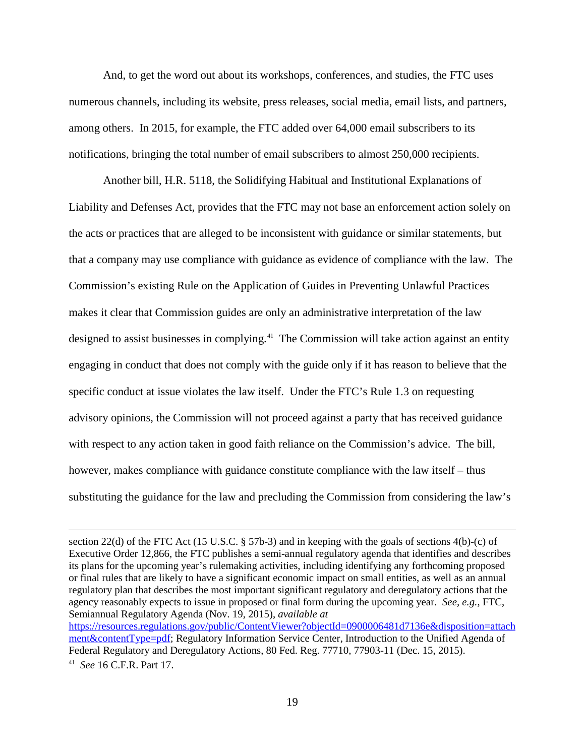And, to get the word out about its workshops, conferences, and studies, the FTC uses numerous channels, including its website, press releases, social media, email lists, and partners, among others. In 2015, for example, the FTC added over 64,000 email subscribers to its notifications, bringing the total number of email subscribers to almost 250,000 recipients.

Another bill, H.R. 5118, the Solidifying Habitual and Institutional Explanations of Liability and Defenses Act, provides that the FTC may not base an enforcement action solely on the acts or practices that are alleged to be inconsistent with guidance or similar statements, but that a company may use compliance with guidance as evidence of compliance with the law. The Commission's existing Rule on the Application of Guides in Preventing Unlawful Practices makes it clear that Commission guides are only an administrative interpretation of the law designed to assist businesses in complying.<sup>[41](#page-19-0)</sup> The Commission will take action against an entity engaging in conduct that does not comply with the guide only if it has reason to believe that the specific conduct at issue violates the law itself. Under the FTC's Rule 1.3 on requesting advisory opinions, the Commission will not proceed against a party that has received guidance with respect to any action taken in good faith reliance on the Commission's advice. The bill, however, makes compliance with guidance constitute compliance with the law itself – thus substituting the guidance for the law and precluding the Commission from considering the law's

 $\overline{a}$ 

section 22(d) of the FTC Act (15 U.S.C. § 57b-3) and in keeping with the goals of sections 4(b)-(c) of Executive Order 12,866, the FTC publishes a semi-annual regulatory agenda that identifies and describes its plans for the upcoming year's rulemaking activities, including identifying any forthcoming proposed or final rules that are likely to have a significant economic impact on small entities, as well as an annual regulatory plan that describes the most important significant regulatory and deregulatory actions that the agency reasonably expects to issue in proposed or final form during the upcoming year. *See, e.g.*, FTC, Semiannual Regulatory Agenda (Nov. 19, 2015), *available at*  [https://resources.regulations.gov/public/ContentViewer?objectId=0900006481d7136e&disposition=attach](https://resources.regulations.gov/public/ContentViewer?objectId=0900006481d7136e&disposition=attachment&contentType=pdf) [ment&contentType=pdf;](https://resources.regulations.gov/public/ContentViewer?objectId=0900006481d7136e&disposition=attachment&contentType=pdf) Regulatory Information Service Center, Introduction to the Unified Agenda of Federal Regulatory and Deregulatory Actions, 80 Fed. Reg. 77710, 77903-11 (Dec. 15, 2015).

<span id="page-19-0"></span><sup>41</sup> *See* 16 C.F.R. Part 17.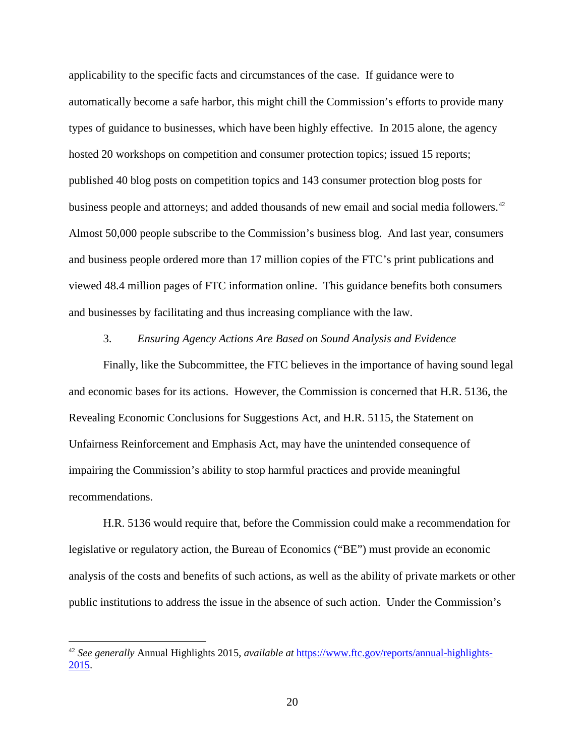applicability to the specific facts and circumstances of the case. If guidance were to automatically become a safe harbor, this might chill the Commission's efforts to provide many types of guidance to businesses, which have been highly effective. In 2015 alone, the agency hosted 20 workshops on competition and consumer protection topics; issued 15 reports; published 40 blog posts on competition topics and 143 consumer protection blog posts for business people and attorneys; and added thousands of new email and social media followers.<sup>42</sup> Almost 50,000 people subscribe to the Commission's business blog. And last year, consumers and business people ordered more than 17 million copies of the FTC's print publications and viewed 48.4 million pages of FTC information online. This guidance benefits both consumers and businesses by facilitating and thus increasing compliance with the law.

### 3. *Ensuring Agency Actions Are Based on Sound Analysis and Evidence*

Finally, like the Subcommittee, the FTC believes in the importance of having sound legal and economic bases for its actions. However, the Commission is concerned that H.R. 5136, the Revealing Economic Conclusions for Suggestions Act, and H.R. 5115, the Statement on Unfairness Reinforcement and Emphasis Act, may have the unintended consequence of impairing the Commission's ability to stop harmful practices and provide meaningful recommendations.

H.R. 5136 would require that, before the Commission could make a recommendation for legislative or regulatory action, the Bureau of Economics ("BE") must provide an economic analysis of the costs and benefits of such actions, as well as the ability of private markets or other public institutions to address the issue in the absence of such action. Under the Commission's

<span id="page-20-0"></span> <sup>42</sup> *See generally* Annual Highlights 2015, *available at* [https://www.ftc.gov/reports/annual-highlights-](https://www.ftc.gov/reports/annual-highlights-2015)[2015.](https://www.ftc.gov/reports/annual-highlights-2015)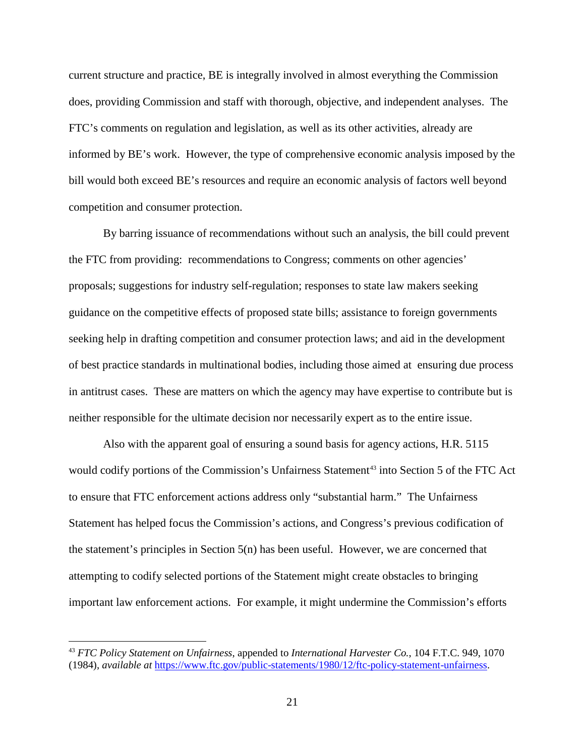current structure and practice, BE is integrally involved in almost everything the Commission does, providing Commission and staff with thorough, objective, and independent analyses. The FTC's comments on regulation and legislation, as well as its other activities, already are informed by BE's work. However, the type of comprehensive economic analysis imposed by the bill would both exceed BE's resources and require an economic analysis of factors well beyond competition and consumer protection.

By barring issuance of recommendations without such an analysis, the bill could prevent the FTC from providing: recommendations to Congress; comments on other agencies' proposals; suggestions for industry self-regulation; responses to state law makers seeking guidance on the competitive effects of proposed state bills; assistance to foreign governments seeking help in drafting competition and consumer protection laws; and aid in the development of best practice standards in multinational bodies, including those aimed at ensuring due process in antitrust cases. These are matters on which the agency may have expertise to contribute but is neither responsible for the ultimate decision nor necessarily expert as to the entire issue.

Also with the apparent goal of ensuring a sound basis for agency actions, H.R. 5115 would codify portions of the Commission's Unfairness Statement<sup>[43](#page-21-0)</sup> into Section 5 of the FTC Act to ensure that FTC enforcement actions address only "substantial harm." The Unfairness Statement has helped focus the Commission's actions, and Congress's previous codification of the statement's principles in Section  $5(n)$  has been useful. However, we are concerned that attempting to codify selected portions of the Statement might create obstacles to bringing important law enforcement actions. For example, it might undermine the Commission's efforts

<span id="page-21-0"></span> <sup>43</sup> *FTC Policy Statement on Unfairness*, appended to *International Harvester Co.*, 104 F.T.C. 949, 1070 (1984), *available at* [https://www.ftc.gov/public-statements/1980/12/ftc-policy-statement-unfairness.](https://www.ftc.gov/public-statements/1980/12/ftc-policy-statement-unfairness)